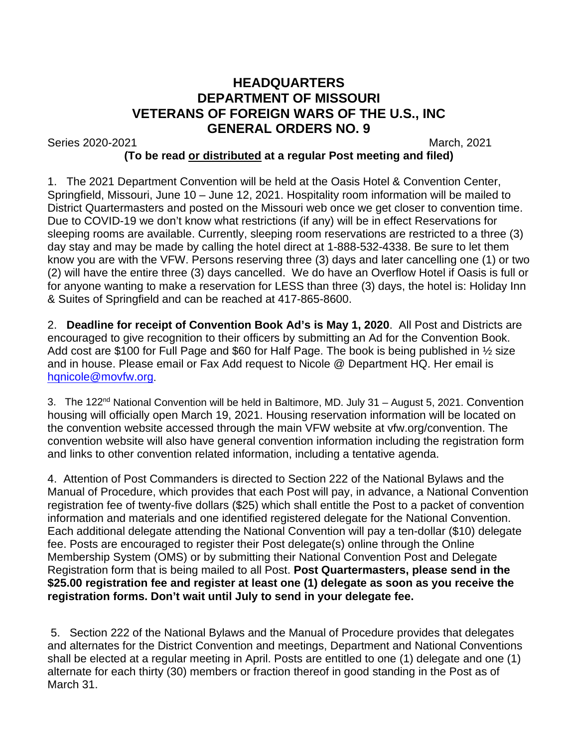## **HEADQUARTERS DEPARTMENT OF MISSOURI VETERANS OF FOREIGN WARS OF THE U.S., INC GENERAL ORDERS NO. 9**

Series 2020-2021 March, 2021

## **(To be read or distributed at a regular Post meeting and filed)**

1. The 2021 Department Convention will be held at the Oasis Hotel & Convention Center, Springfield, Missouri, June 10 – June 12, 2021. Hospitality room information will be mailed to District Quartermasters and posted on the Missouri web once we get closer to convention time. Due to COVID-19 we don't know what restrictions (if any) will be in effect Reservations for sleeping rooms are available. Currently, sleeping room reservations are restricted to a three (3) day stay and may be made by calling the hotel direct at 1-888-532-4338. Be sure to let them know you are with the VFW. Persons reserving three (3) days and later cancelling one (1) or two (2) will have the entire three (3) days cancelled. We do have an Overflow Hotel if Oasis is full or for anyone wanting to make a reservation for LESS than three (3) days, the hotel is: Holiday Inn & Suites of Springfield and can be reached at 417-865-8600.

2. **Deadline for receipt of Convention Book Ad's is May 1, 2020**. All Post and Districts are encouraged to give recognition to their officers by submitting an Ad for the Convention Book. Add cost are \$100 for Full Page and \$60 for Half Page. The book is being published in 1/2 size and in house. Please email or Fax Add request to Nicole @ Department HQ. Her email is [hqnicole@movfw.org.](mailto:hqnicole@movfw.org)

3. The 122<sup>nd</sup> National Convention will be held in Baltimore, MD. July 31 – August 5, 2021. Convention housing will officially open March 19, 2021. Housing reservation information will be located on the convention website accessed through the main VFW website at vfw.org/convention. The convention website will also have general convention information including the registration form and links to other convention related information, including a tentative agenda.

4. Attention of Post Commanders is directed to Section 222 of the National Bylaws and the Manual of Procedure, which provides that each Post will pay, in advance, a National Convention registration fee of twenty-five dollars (\$25) which shall entitle the Post to a packet of convention information and materials and one identified registered delegate for the National Convention. Each additional delegate attending the National Convention will pay a ten-dollar (\$10) delegate fee. Posts are encouraged to register their Post delegate(s) online through the Online Membership System (OMS) or by submitting their National Convention Post and Delegate Registration form that is being mailed to all Post. **Post Quartermasters, please send in the \$25.00 registration fee and register at least one (1) delegate as soon as you receive the registration forms. Don't wait until July to send in your delegate fee.**

5. Section 222 of the National Bylaws and the Manual of Procedure provides that delegates and alternates for the District Convention and meetings, Department and National Conventions shall be elected at a regular meeting in April. Posts are entitled to one (1) delegate and one (1) alternate for each thirty (30) members or fraction thereof in good standing in the Post as of March 31.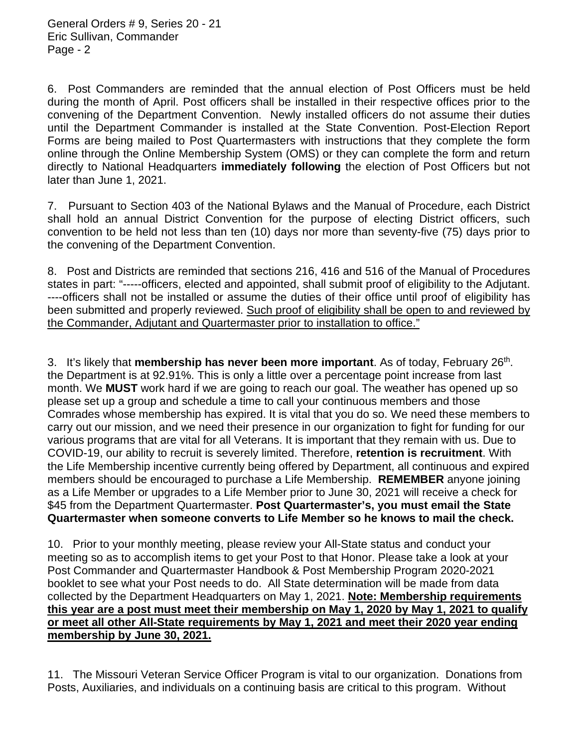6. Post Commanders are reminded that the annual election of Post Officers must be held during the month of April. Post officers shall be installed in their respective offices prior to the convening of the Department Convention. Newly installed officers do not assume their duties until the Department Commander is installed at the State Convention. Post-Election Report Forms are being mailed to Post Quartermasters with instructions that they complete the form online through the Online Membership System (OMS) or they can complete the form and return directly to National Headquarters **immediately following** the election of Post Officers but not later than June 1, 2021.

7. Pursuant to Section 403 of the National Bylaws and the Manual of Procedure, each District shall hold an annual District Convention for the purpose of electing District officers, such convention to be held not less than ten (10) days nor more than seventy-five (75) days prior to the convening of the Department Convention.

8. Post and Districts are reminded that sections 216, 416 and 516 of the Manual of Procedures states in part: "-----officers, elected and appointed, shall submit proof of eligibility to the Adjutant. ----officers shall not be installed or assume the duties of their office until proof of eligibility has been submitted and properly reviewed. Such proof of eligibility shall be open to and reviewed by the Commander, Adjutant and Quartermaster prior to installation to office."

3. It's likely that **membership has never been more important**. As of today, February 26th. the Department is at 92.91%. This is only a little over a percentage point increase from last month. We **MUST** work hard if we are going to reach our goal. The weather has opened up so please set up a group and schedule a time to call your continuous members and those Comrades whose membership has expired. It is vital that you do so. We need these members to carry out our mission, and we need their presence in our organization to fight for funding for our various programs that are vital for all Veterans. It is important that they remain with us. Due to COVID-19, our ability to recruit is severely limited. Therefore, **retention is recruitment**. With the Life Membership incentive currently being offered by Department, all continuous and expired members should be encouraged to purchase a Life Membership. **REMEMBER** anyone joining as a Life Member or upgrades to a Life Member prior to June 30, 2021 will receive a check for \$45 from the Department Quartermaster. **Post Quartermaster's, you must email the State Quartermaster when someone converts to Life Member so he knows to mail the check.**

10. Prior to your monthly meeting, please review your All-State status and conduct your meeting so as to accomplish items to get your Post to that Honor. Please take a look at your Post Commander and Quartermaster Handbook & Post Membership Program 2020-2021 booklet to see what your Post needs to do. All State determination will be made from data collected by the Department Headquarters on May 1, 2021. **Note: Membership requirements this year are a post must meet their membership on May 1, 2020 by May 1, 2021 to qualify or meet all other All-State requirements by May 1, 2021 and meet their 2020 year ending membership by June 30, 2021.**

11. The Missouri Veteran Service Officer Program is vital to our organization. Donations from Posts, Auxiliaries, and individuals on a continuing basis are critical to this program. Without